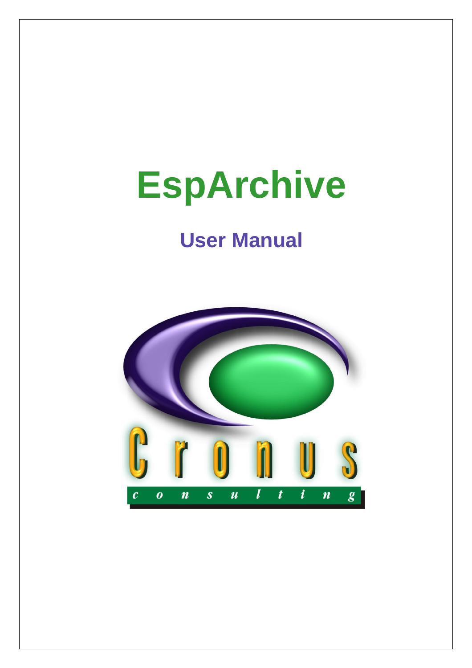# **EspArchive**

# **User Manual**

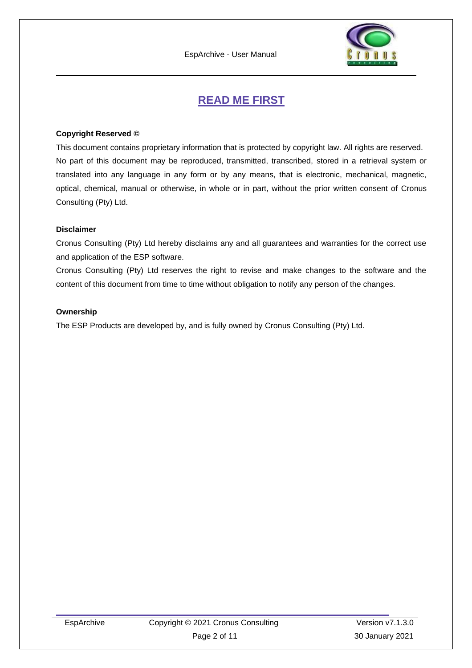

# **READ ME FIRST**

#### <span id="page-1-0"></span>**Copyright Reserved ©**

This document contains proprietary information that is protected by copyright law. All rights are reserved. No part of this document may be reproduced, transmitted, transcribed, stored in a retrieval system or translated into any language in any form or by any means, that is electronic, mechanical, magnetic, optical, chemical, manual or otherwise, in whole or in part, without the prior written consent of Cronus Consulting (Pty) Ltd.

#### **Disclaimer**

Cronus Consulting (Pty) Ltd hereby disclaims any and all guarantees and warranties for the correct use and application of the ESP software.

Cronus Consulting (Pty) Ltd reserves the right to revise and make changes to the software and the content of this document from time to time without obligation to notify any person of the changes.

#### **Ownership**

The ESP Products are developed by, and is fully owned by Cronus Consulting (Pty) Ltd.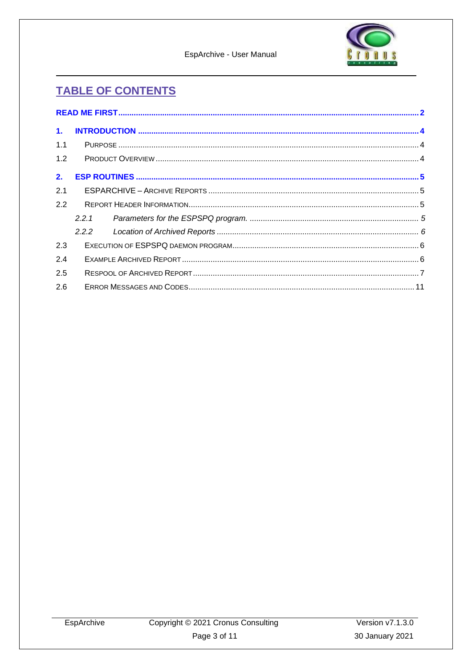EspArchive - User Manual



# **TABLE OF CONTENTS**

| 1.  |       |  |  |  |  |
|-----|-------|--|--|--|--|
| 1.1 |       |  |  |  |  |
| 1.2 |       |  |  |  |  |
| 2.  |       |  |  |  |  |
| 2.1 |       |  |  |  |  |
| 2.2 |       |  |  |  |  |
|     | 2.2.1 |  |  |  |  |
|     | 2.2.2 |  |  |  |  |
| 2.3 |       |  |  |  |  |
| 2.4 |       |  |  |  |  |
| 2.5 |       |  |  |  |  |
| 2.6 |       |  |  |  |  |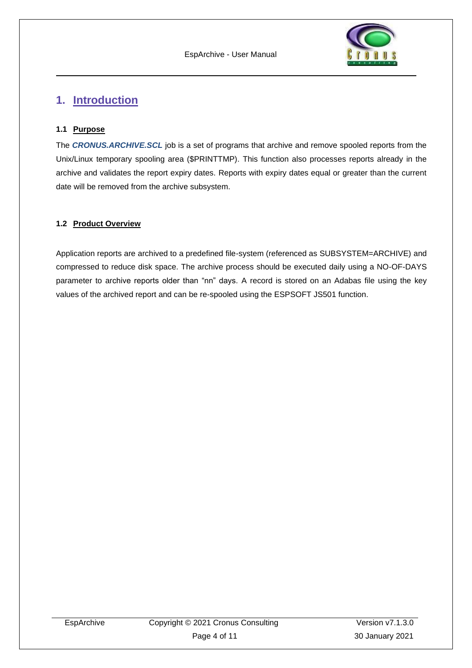

## <span id="page-3-0"></span>**1. Introduction**

#### <span id="page-3-1"></span>**1.1 Purpose**

The *CRONUS.ARCHIVE.SCL* job is a set of programs that archive and remove spooled reports from the Unix/Linux temporary spooling area (\$PRINTTMP). This function also processes reports already in the archive and validates the report expiry dates. Reports with expiry dates equal or greater than the current date will be removed from the archive subsystem.

#### <span id="page-3-2"></span>**1.2 Product Overview**

Application reports are archived to a predefined file-system (referenced as SUBSYSTEM=ARCHIVE) and compressed to reduce disk space. The archive process should be executed daily using a NO-OF-DAYS parameter to archive reports older than "nn" days. A record is stored on an Adabas file using the key values of the archived report and can be re-spooled using the ESPSOFT JS501 function.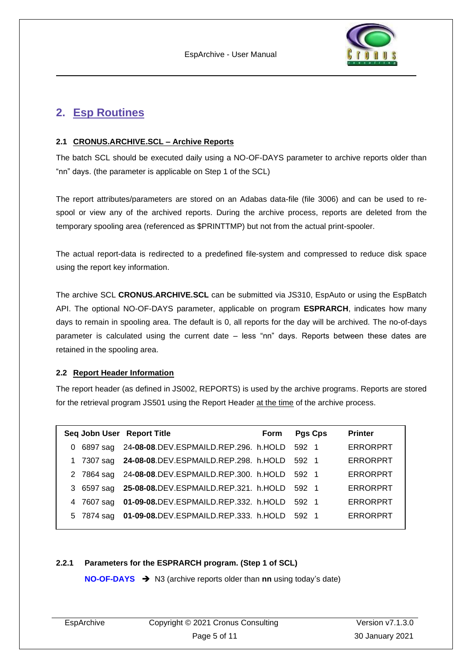

## <span id="page-4-0"></span>**2. Esp Routines**

#### <span id="page-4-1"></span>**2.1 CRONUS.ARCHIVE.SCL – Archive Reports**

The batch SCL should be executed daily using a NO-OF-DAYS parameter to archive reports older than "nn" days. (the parameter is applicable on Step 1 of the SCL)

The report attributes/parameters are stored on an Adabas data-file (file 3006) and can be used to respool or view any of the archived reports. During the archive process, reports are deleted from the temporary spooling area (referenced as \$PRINTTMP) but not from the actual print-spooler.

The actual report-data is redirected to a predefined file-system and compressed to reduce disk space using the report key information.

The archive SCL **CRONUS.ARCHIVE.SCL** can be submitted via JS310, EspAuto or using the EspBatch API. The optional NO-OF-DAYS parameter, applicable on program **ESPRARCH**, indicates how many days to remain in spooling area. The default is 0, all reports for the day will be archived. The no-of-days parameter is calculated using the current date – less "nn" days. Reports between these dates are retained in the spooling area.

#### <span id="page-4-2"></span>**2.2 Report Header Information**

The report header (as defined in JS002, REPORTS) is used by the archive programs. Reports are stored for the retrieval program JS501 using the Report Header at the time of the archive process.

|    |            | Seq Jobn User Report Title                             | <b>Form</b> | <b>Pgs Cps</b> | <b>Printer</b>  |
|----|------------|--------------------------------------------------------|-------------|----------------|-----------------|
| 0  |            | 6897 sag 24-08-08.DEV.ESPMAILD.REP.296. h.HOLD 592 1   |             |                | <b>ERRORPRT</b> |
| 1. | 7307 sag   | 24-08-08.DEV.ESPMAILD.REP.298. h.HOLD                  |             | 592 1          | <b>ERRORPRT</b> |
|    |            | 2 7864 sag 24-08-08.DEV.ESPMAILD.REP.300. h.HOLD 592 1 |             |                | <b>ERRORPRT</b> |
|    |            | 3 6597 sag 25-08-08.DEV.ESPMAILD.REP.321. h.HOLD 592 1 |             |                | <b>ERRORPRT</b> |
|    | 4 7607 sag | 01-09-08.DEV.ESPMAILD.REP.332. h.HOLD 592 1            |             |                | <b>ERRORPRT</b> |
|    | 5 7874 sag | 01-09-08.DEV.ESPMAILD.REP.333. h.HOLD 592 1            |             |                | <b>ERRORPRT</b> |
|    |            |                                                        |             |                |                 |

#### <span id="page-4-3"></span>**2.2.1 Parameters for the ESPRARCH program. (Step 1 of SCL)**

**NO-OF-DAYS** ➔ N3 (archive reports older than **nn** using today's date)

| EspArchive | Copyright © 2021 Cronus Consulting | Version $v7.1.3.0$ |
|------------|------------------------------------|--------------------|
|            | Page 5 of 11                       | 30 January 2021    |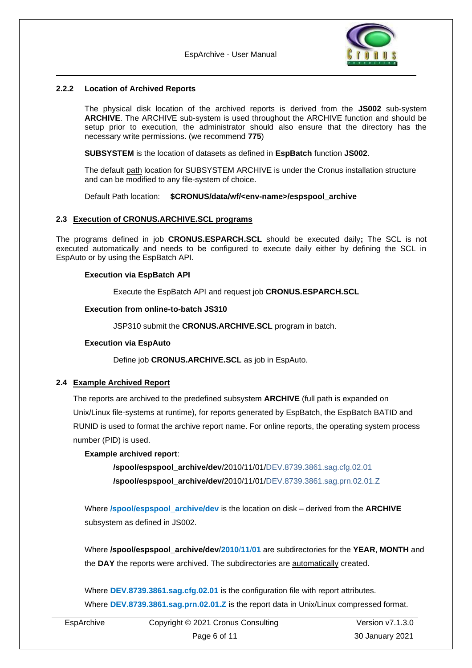

#### <span id="page-5-0"></span>**2.2.2 Location of Archived Reports**

The physical disk location of the archived reports is derived from the **JS002** sub-system **ARCHIVE**. The ARCHIVE sub-system is used throughout the ARCHIVE function and should be setup prior to execution, the administrator should also ensure that the directory has the necessary write permissions. (we recommend **775**)

**SUBSYSTEM** is the location of datasets as defined in **EspBatch** function **JS002**.

The default path location for SUBSYSTEM ARCHIVE is under the Cronus installation structure and can be modified to any file-system of choice.

Default Path location: **\$CRONUS/data/wf/<env-name>/espspool\_archive**

#### <span id="page-5-1"></span>**2.3 Execution of CRONUS.ARCHIVE.SCL programs**

The programs defined in job **CRONUS.ESPARCH.SCL** should be executed daily**;** The SCL is not executed automatically and needs to be configured to execute daily either by defining the SCL in EspAuto or by using the EspBatch API.

#### **Execution via EspBatch API**

Execute the EspBatch API and request job **CRONUS.ESPARCH.SCL**

#### **Execution from online-to-batch JS310**

JSP310 submit the **CRONUS.ARCHIVE.SCL** program in batch.

#### **Execution via EspAuto**

Define job **CRONUS.ARCHIVE.SCL** as job in EspAuto.

#### <span id="page-5-2"></span>**2.4 Example Archived Report**

The reports are archived to the predefined subsystem **ARCHIVE** (full path is expanded on Unix/Linux file-systems at runtime), for reports generated by EspBatch, the EspBatch BATID and RUNID is used to format the archive report name. For online reports, the operating system process number (PID) is used.

#### **Example archived report**:

**/spool/espspool\_archive/dev**/2010/11/01/DEV.8739.3861.sag.cfg.02.01 **/spool/espspool\_archive/dev/**2010/11/01/DEV.8739.3861.sag.prn.02.01.Z

Where **/spool/espspool\_archive/dev** is the location on disk – derived from the **ARCHIVE**  subsystem as defined in JS002.

Where **/spool/espspool\_archive/dev**/**2010**/**11**/**01** are subdirectories for the **YEAR**, **MONTH** and the **DAY** the reports were archived. The subdirectories are automatically created.

Where **DEV.8739.3861.sag.cfg.02.01** is the configuration file with report attributes. Where **DEV.8739.3861.sag.prn.02.01.Z** is the report data in Unix/Linux compressed format.

| EspArchive | Copyright © 2021 Cronus Consulting | Version $v7.1.3.0$ |  |  |
|------------|------------------------------------|--------------------|--|--|
|            | Page 6 of 11                       | 30 January 2021    |  |  |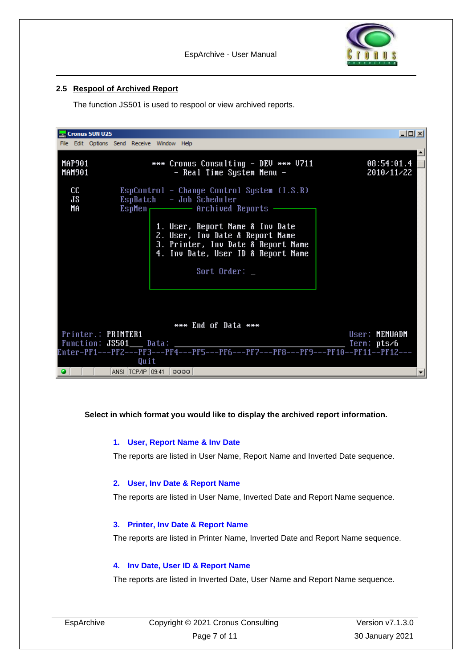

#### <span id="page-6-0"></span>**2.5 Respool of Archived Report**

The function JS501 is used to respool or view archived reports.

| <b>Cronus SUN U25</b>          | File Edit Options Send Receive Window Help                                                                                                                                                                                           | 니미지                                                      |
|--------------------------------|--------------------------------------------------------------------------------------------------------------------------------------------------------------------------------------------------------------------------------------|----------------------------------------------------------|
|                                |                                                                                                                                                                                                                                      |                                                          |
| <b>MAP901</b><br><b>MAM901</b> | *** Cronus Consulting - DEV *** V711<br>- Real Time System Menu -                                                                                                                                                                    | 08:54:01.4<br>2010/11/22                                 |
| cc<br>JS.<br>MA                | EspControl - Change Control System $(I.S.R)$<br>EspBatch - Job Scheduler<br>EspMen <del>contract Parchived</del> Reports<br>1. User, Report Name & Inv Date<br>2. User, Inv Date & Report Name<br>3. Printer, Inu Date & Report Name |                                                          |
|                                | 4. Inv Date, User ID & Report Name<br>Sort Order: $\overline{\phantom{a}}$                                                                                                                                                           |                                                          |
|                                | *** End of Data ***<br>Printer.: PRINTER1<br>Function: JS501___ Data:<br>Enter-PF1---PF2---PF3---PF4---PF5---PF6---PF7---PF8---PF9---PF10--PF11--PF12---<br>Quit<br>$ ANSI $ TCP/IP $ 09:41 $ $ 0000 $                               | User: MENUADM<br>Term: pts/6<br>$\overline{\phantom{a}}$ |

#### **Select in which format you would like to display the archived report information.**

#### **1. User, Report Name & Inv Date**

The reports are listed in User Name, Report Name and Inverted Date sequence.

#### **2. User, Inv Date & Report Name**

The reports are listed in User Name, Inverted Date and Report Name sequence.

#### **3. Printer, Inv Date & Report Name**

The reports are listed in Printer Name, Inverted Date and Report Name sequence.

#### **4. Inv Date, User ID & Report Name**

The reports are listed in Inverted Date, User Name and Report Name sequence.

| EspArchive | Copyright © 2021 Cronus Consulting | Version $v7.1.3.0$ |  |  |
|------------|------------------------------------|--------------------|--|--|
|            | Page 7 of 11                       | 30 January 2021    |  |  |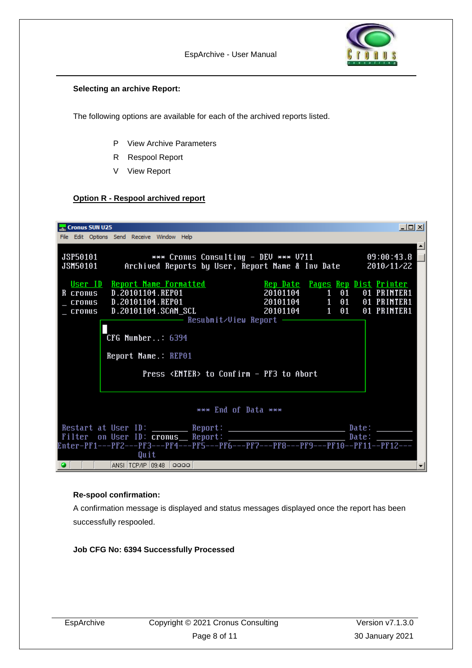

#### **Selecting an archive Report:**

The following options are available for each of the archived reports listed.

- P View Archive Parameters
- R Respool Report
- V View Report

#### **Option R - Respool archived report**

| $ \Box$ $\times$<br>Cronus SUN U25                                                                                                                                                                                                                                                       |  |  |  |  |  |  |  |  |  |
|------------------------------------------------------------------------------------------------------------------------------------------------------------------------------------------------------------------------------------------------------------------------------------------|--|--|--|--|--|--|--|--|--|
| File Edit Options Send Receive Window Help                                                                                                                                                                                                                                               |  |  |  |  |  |  |  |  |  |
| 09:00:43.8<br><b>JSP50101</b><br>*** Cronus Consulting - DEU *** V711<br>JSM50101    Archived Reports by User, Report Name & Inv Date<br>2010/11/22                                                                                                                                      |  |  |  |  |  |  |  |  |  |
| <u>User ID Report Name Formatted show are Paul Pauls Rep Dist Printer</u><br>R cronus D.20101104.REP01<br>20101104 1 01<br>01 PRINTER1<br>01 PRINTER1<br>01 PRINTER1<br>$CFG$ Number: $6394$<br>Report Name.: REP01                                                                      |  |  |  |  |  |  |  |  |  |
| Press <enter> to Confirm - PF3 to Abort</enter>                                                                                                                                                                                                                                          |  |  |  |  |  |  |  |  |  |
| *** End of Data ***                                                                                                                                                                                                                                                                      |  |  |  |  |  |  |  |  |  |
| Restart at User ID: ______ Report: _________________________ Date: _______<br>Filter on User ID: cronus_ Report: ________________________ Date: _______<br>Enter-PF1---PF2---PF3---PF4---PF5---PF6---PF7---PF8---PF9---PF10--PF11--PF12---<br>Quit<br>$ ANSI $ TCP/IP $ 09:48 $ $ 0000 $ |  |  |  |  |  |  |  |  |  |

#### **Re-spool confirmation:**

A confirmation message is displayed and status messages displayed once the report has been successfully respooled.

**Job CFG No: 6394 Successfully Processed**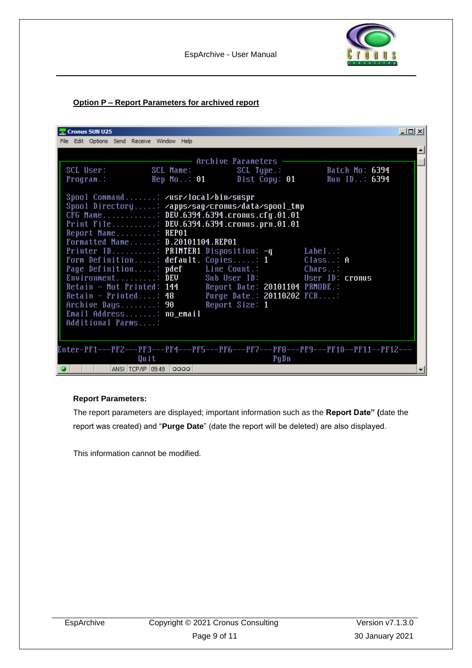

#### **Option P – Report Parameters for archived report**

| <b>Cronus SUN U25</b>                                                                                                                                                                                                                                                                                                                                                                                                                                                                                                                                                                                                                                                                    | 니미지 |
|------------------------------------------------------------------------------------------------------------------------------------------------------------------------------------------------------------------------------------------------------------------------------------------------------------------------------------------------------------------------------------------------------------------------------------------------------------------------------------------------------------------------------------------------------------------------------------------------------------------------------------------------------------------------------------------|-----|
| File Edit Options Send Receive Window Help                                                                                                                                                                                                                                                                                                                                                                                                                                                                                                                                                                                                                                               |     |
| - Archive Parameters<br>SCL User:<br>SCL Name:<br>$SCL$ Type.: $\overline{\phantom{a}}$<br>Batch No: 6394<br>Dist Copy: 01 Run ID: 6394<br>Rep No: 01<br>Program.:                                                                                                                                                                                                                                                                                                                                                                                                                                                                                                                       |     |
| Spool Command: /usr/local/bin/suspr<br>Spool Directory: /apps/sag/cronus/data/spool_tmp<br>CFG Name: DEV.6394.6394.cron <u>us.cfg.01.01</u><br>Print File: DEV.6394.6394.cronus.prn.01.01<br>Report Name: REP01<br>Formatted Name: D.20101104.REP01<br>Printer ID: PRINTER1 Disposition: -q<br>Label:<br>Form Definition: default. Copies: $\overline{1}$<br>$Class$ A<br>Page Definition: pdef Line Count.:<br>Chars:<br>$Environment$ : DEV<br>Sub User ID: User ID: cronus<br>Retain - Not Printed: 144<br>Report Date: 20101104 PRMODE.:<br>Purge Date.: 20110202 FCB:<br>Retain - Printed: 48<br>Archive Days: 90<br>Report Size: 1<br>Email Address: no_email<br>Additional Parms: |     |
| Enter-PF1---PF2---PF3---PF4---PF5---PF6---PF7---PF8---PF9---PF10--PF11--PF12---<br>PgDn<br>Quit                                                                                                                                                                                                                                                                                                                                                                                                                                                                                                                                                                                          |     |
| ANSI TCP/IP 09:49 0000<br>$\bullet$                                                                                                                                                                                                                                                                                                                                                                                                                                                                                                                                                                                                                                                      |     |

#### **Report Parameters:**

The report parameters are displayed; important information such as the **Report Date" (**date the report was created) and "**Purge Date**" (date the report will be deleted) are also displayed.

This information cannot be modified.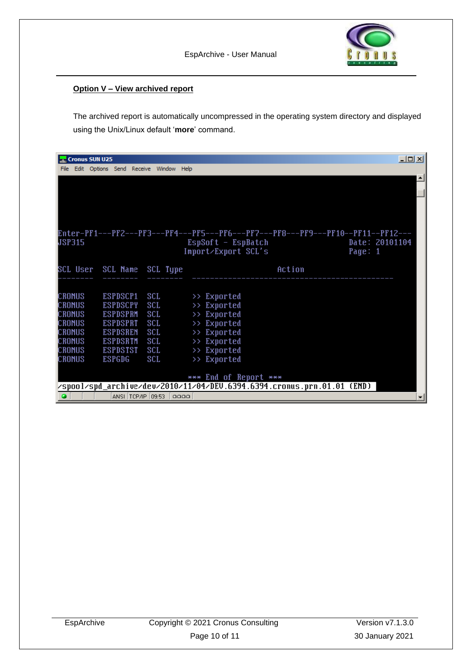#### **Option V – View archived report**

The archived report is automatically uncompressed in the operating system directory and displayed using the Unix/Linux default '**more**' command.

|        | <b>Cronus SUN U25</b> |                 |                                       |            |                                                                                                 | $\overline{\mathbf{L}[\mathbf{u}]}$ |
|--------|-----------------------|-----------------|---------------------------------------|------------|-------------------------------------------------------------------------------------------------|-------------------------------------|
| File   |                       |                 | Edit Options Send Receive Window Help |            |                                                                                                 |                                     |
|        |                       |                 |                                       |            |                                                                                                 |                                     |
|        |                       |                 |                                       |            |                                                                                                 |                                     |
|        |                       |                 |                                       |            |                                                                                                 |                                     |
|        |                       |                 |                                       |            |                                                                                                 |                                     |
|        |                       |                 |                                       |            |                                                                                                 |                                     |
|        |                       |                 |                                       |            |                                                                                                 |                                     |
|        |                       |                 |                                       |            | Enter-PF1---PF2---PF3---PF4---PF5---PF6---PF7---PF8---PF9---PF10--PF11--PF12---                 |                                     |
| JSP315 |                       |                 |                                       |            | $EspSoft - EspBatch$<br>Date: 20101104                                                          |                                     |
|        |                       |                 |                                       |            | Import/Export SCL's<br>Page: $1$                                                                |                                     |
|        |                       |                 | SCL User SCL Name SCL Type            |            | Action                                                                                          |                                     |
|        |                       |                 |                                       |            |                                                                                                 |                                     |
|        |                       |                 |                                       |            |                                                                                                 |                                     |
| CRONUS |                       | ESPDSCP1        |                                       | <b>SCL</b> | >> Exported                                                                                     |                                     |
| CRONUS |                       | <b>ESPDSCPY</b> | <b>SCL</b>                            |            | $\gg$ Exported                                                                                  |                                     |
| CRONUS |                       | <b>ESPDSPRM</b> |                                       | <b>SCL</b> | >> Exported                                                                                     |                                     |
| CRONUS |                       | <b>ESPDSPRT</b> | <b>SCL</b>                            |            | >> Exported                                                                                     |                                     |
| CRONUS |                       | <b>ESPDSREM</b> | <b>SCL</b>                            |            | >> Exported                                                                                     |                                     |
| CRONUS |                       | <b>ESPDSRTM</b> |                                       | SCL        | >> Exported                                                                                     |                                     |
| CRONUS |                       | <b>ESPDSTST</b> |                                       | <b>SCL</b> | >> Exported                                                                                     |                                     |
| CRONUS |                       | <b>ESPGDG</b>   |                                       | SCL        | >> Exported                                                                                     |                                     |
|        |                       |                 |                                       |            |                                                                                                 |                                     |
|        |                       |                 |                                       |            | *** End of Report ***<br>/spool/spd_archive/dev/2010/11/04/DEV.6394.6394.cronus.prn.01.01 (END) |                                     |
|        |                       |                 | ANSI TCP/IP 109:53                    |            | 0000                                                                                            |                                     |
| ۰      |                       |                 |                                       |            |                                                                                                 | ▾                                   |